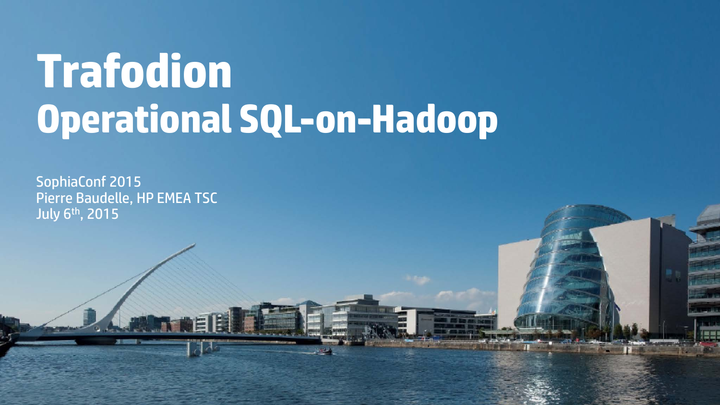# **Trafodion Operational SQL-on-Hadoop**

SophiaConf 2015 Pierre Baudelle, HP EMEA TSC July 6th, 2015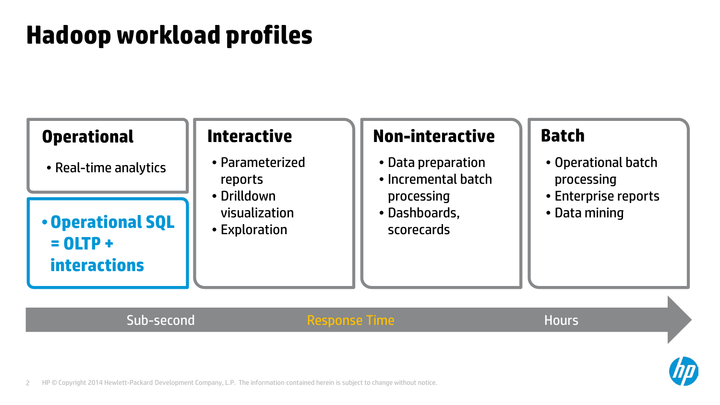# **Hadoop workload profiles**

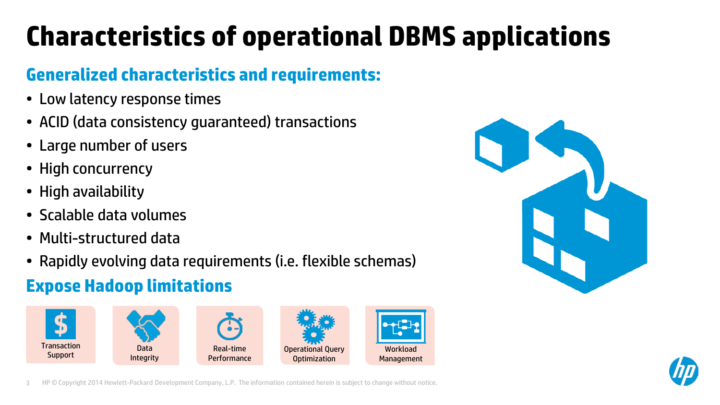# **Characteristics of operational DBMS applications**

### **Generalized characteristics and requirements:**

- Low latency response times
- ACID (data consistency guaranteed) transactions
- Large number of users
- High concurrency
- High availability
- Scalable data volumes
- Multi-structured data
- Rapidly evolving data requirements (i.e. flexible schemas)

### **Expose Hadoop limitations**





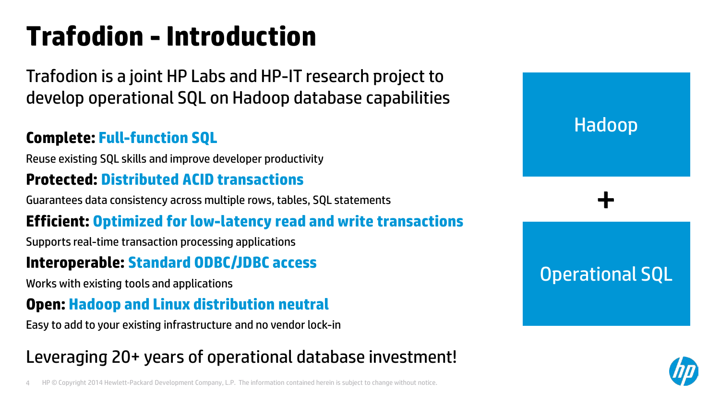# **Trafodion -Introduction**

Trafodion is a joint HP Labs and HP-IT research project to develop operational SQL on Hadoop database capabilities

### **Complete: Full-function SQL**

Reuse existing SQL skills and improve developer productivity

### **Protected: Distributed ACID transactions**

Guarantees data consistency across multiple rows, tables, SQL statements

### **Efficient: Optimized for low-latency read and write transactions**

Supports real-time transaction processing applications

### **Interoperable: Standard ODBC/JDBC access**

Works with existing tools and applications

### **Open: Hadoop and Linux distribution neutral**

Easy to add to your existing infrastructure and no vendor lock-in

# Leveraging 20+ years of operational database investment!

4 HP © Copyright 2014 Hewlett-Packard Development Company, L.P. The information contained herein is subject to change without notice.



Hadoop

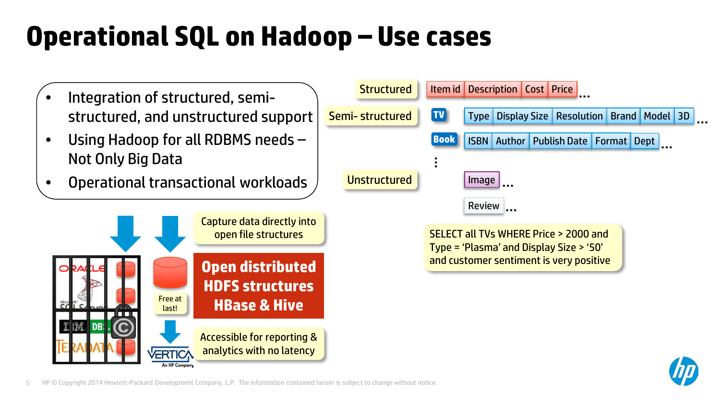# **Operational SQL on Hadoop – Use cases**

- Integration of structured, semistructured, and unstructured support
- Using Hadoop for all RDBMS needs Not Only Big Data
- Operational transactional workloads





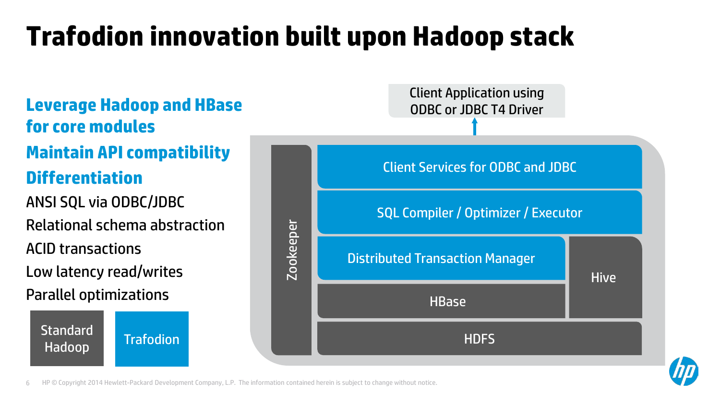# **Trafodion innovation built upon Hadoop stack**



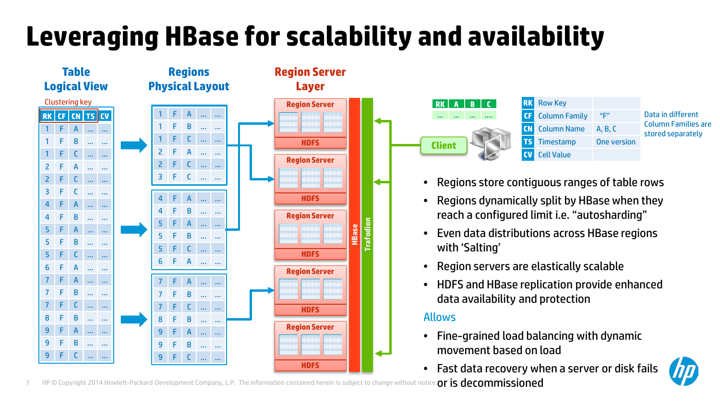# **Leveraging HBase for scalability and availability**



**Client RK A B C** … … … ….

**RK** Row Key **CF** Column Family "F" **CN** Column Name A, B, C **TS** Timestamp One version **CV** Cell Value

Data in different Column Families are stored separately

- Regions store contiguous ranges of table rows
- Regions dynamically split by HBase when they reach a configured limit i.e. "autosharding"
- Even data distributions across HBase regions with 'Salting'
- Region servers are elastically scalable
- HDFS and HBase replication provide enhanced data availability and protection

#### Allows

- Fine-grained load balancing with dynamic movement based on load
- Fast data recovery when a server or disk fails

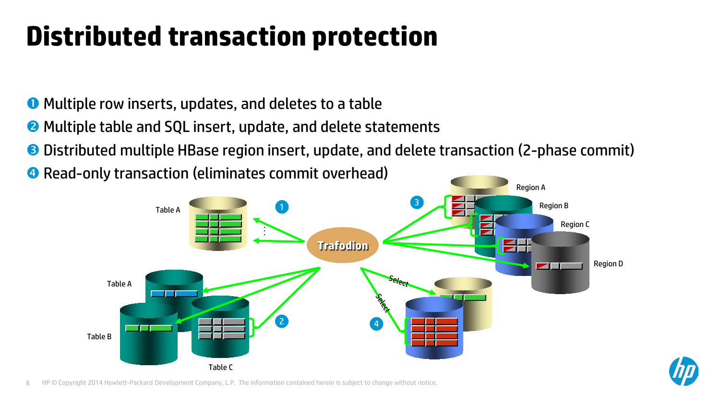# **Distributed transaction protection**

**O** Multiple row inserts, updates, and deletes to a table

- **2** Multiple table and SQL insert, update, and delete statements
- Distributed multiple HBase region insert, update, and delete transaction (2-phase commit)

**4** Read-only transaction (eliminates commit overhead)



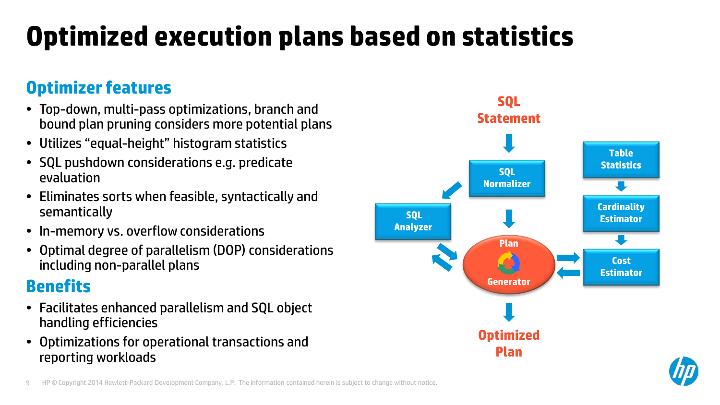# **Optimized execution plans based on statistics**

### **Optimizer features**

- Top-down, multi-pass optimizations, branch and bound plan pruning considers more potential plans
- Utilizes "equal-height" histogram statistics
- SQL pushdown considerations e.g. predicate evaluation
- Eliminates sorts when feasible, syntactically and semantically
- In-memory vs. overflow considerations
- Optimal degree of parallelism (DOP) considerations including non-parallel plans

### **Benefits**

- Facilitates enhanced parallelism and SQL object handling efficiencies
- Optimizations for operational transactions and reporting workloads



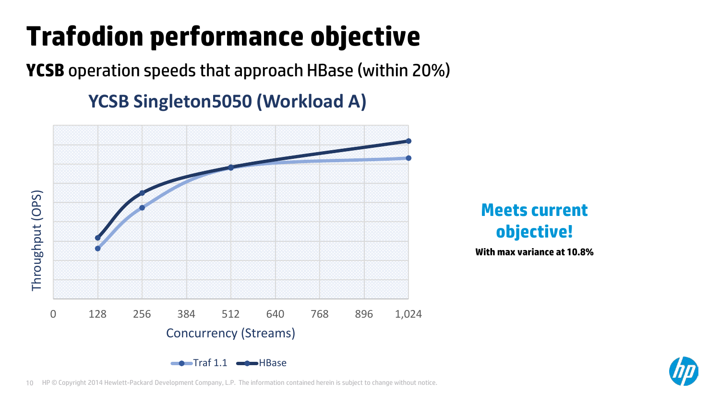# **Trafodion performance objective**

**YCSB** operation speeds that approach HBase (within 20%)

## **YCSB Singleton5050 (Workload A)**



**Meets current objective!**

**With max variance at 10.8%**

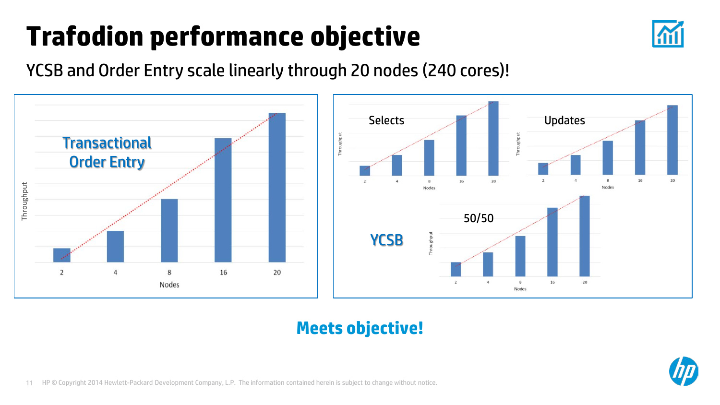# **Trafodion performance objective**



YCSB and Order Entry scale linearly through 20 nodes (240 cores)!



### **Meets objective!**

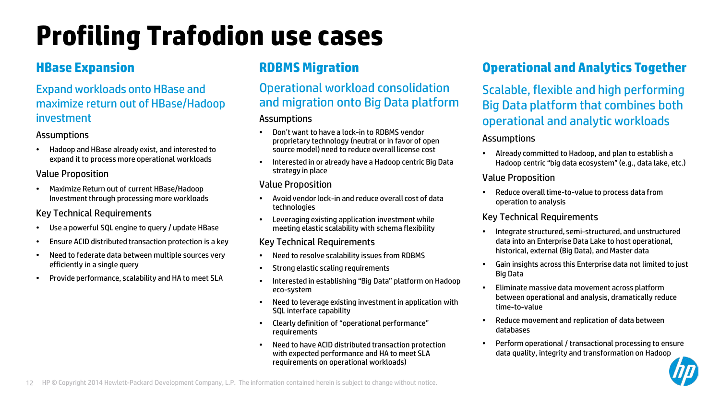# **Profiling Trafodion use cases**

#### Expand workloads onto HBase and maximize return out of HBase/Hadoop investment

#### Assumptions

• Hadoop and HBase already exist, and interested to expand it to process more operational workloads

#### Value Proposition

• Maximize Return out of current HBase/Hadoop Investment through processing more workloads

#### Key Technical Requirements

- Use a powerful SQL engine to query / update HBase
- Ensure ACID distributed transaction protection is a key
- Need to federate data between multiple sources very efficiently in a single query
- Provide performance, scalability and HA to meet SLA

### **RDBMS Migration**

#### Operational workload consolidation and migration onto Big Data platform

#### **Assumptions**

- Don't want to have a lock-in to RDBMS vendor proprietary technology (neutral or in favor of open source model) need to reduce overall license cost
- Interested in or already have a Hadoop centric Big Data strategy in place

#### Value Proposition

- Avoid vendor lock-in and reduce overall cost of data technologies
- Leveraging existing application investment while meeting elastic scalability with schema flexibility

#### Key Technical Requirements

- Need to resolve scalability issues from RDBMS
- Strong elastic scaling requirements
- Interested in establishing "Big Data" platform on Hadoop eco-system
- Need to leverage existing investment in application with SQL interface capability
- Clearly definition of "operational performance" requirements
- Need to have ACID distributed transaction protection with expected performance and HA to meet SLA requirements on operational workloads)

### **HBase Expansion CONS RDBMS** Migration **CONS Operational and Analytics Together**

Scalable, flexible and high performing Big Data platform that combines both operational and analytic workloads

#### **Assumptions**

• Already committed to Hadoop, and plan to establish a Hadoop centric "big data ecosystem" (e.g., data lake, etc.)

#### Value Proposition

• Reduce overall time-to-value to process data from operation to analysis

#### Key Technical Requirements

- Integrate structured, semi-structured, and unstructured data into an Enterprise Data Lake to host operational, historical, external (Big Data), and Master data
- Gain insights across this Enterprise data not limited to just Big Data
- Eliminate massive data movement across platform between operational and analysis, dramatically reduce time-to-value
- Reduce movement and replication of data between databases
- Perform operational / transactional processing to ensure data quality, integrity and transformation on Hadoop

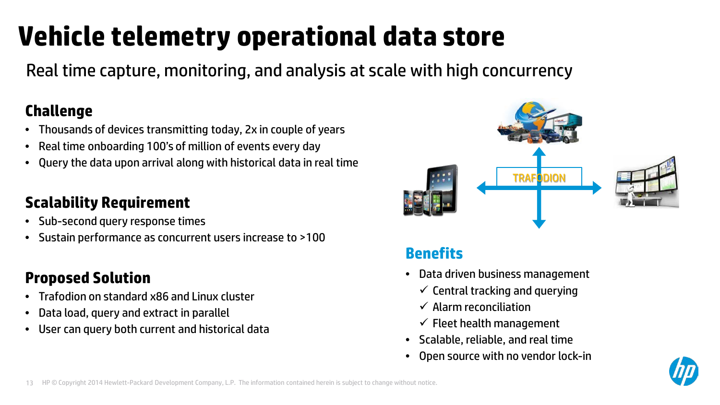# **Vehicle telemetry operational data store**

Real time capture, monitoring, and analysis at scale with high concurrency

### **Challenge**

- Thousands of devices transmitting today, 2x in couple of years
- Real time onboarding 100's of million of events every day
- Query the data upon arrival along with historical data in real time

### **Scalability Requirement**

- Sub-second query response times
- Sustain performance as concurrent users increase to >100

### **Proposed Solution**

- Trafodion on standard x86 and Linux cluster
- Data load, query and extract in parallel
- User can query both current and historical data



### **Benefits**

- Data driven business management
	- $\checkmark$  Central tracking and querying
	- $\checkmark$  Alarm reconciliation
	- $\checkmark$  Fleet health management
- Scalable, reliable, and real time
- Open source with no vendor lock-in

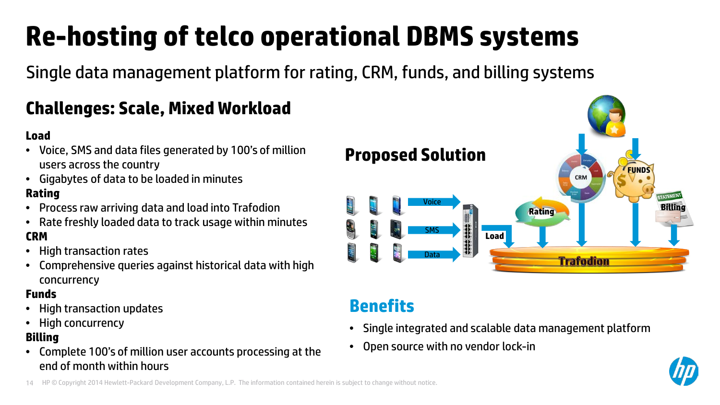# **Re-hosting of telco operational DBMS systems**

Single data management platform for rating, CRM, funds, and billing systems

## **Challenges: Scale, Mixed Workload**

#### **Load**

- Voice, SMS and data files generated by 100's of million users across the country
- Gigabytes of data to be loaded in minutes **Rating**
- Process raw arriving data and load into Trafodion
- Rate freshly loaded data to track usage within minutes **CRM**
- High transaction rates
- Comprehensive queries against historical data with high concurrency

#### **Funds**

- High transaction updates
- High concurrency

#### **Billing**

• Complete 100's of million user accounts processing at the end of month within hours



### **Benefits**

- Single integrated and scalable data management platform
- Open source with no vendor lock-in

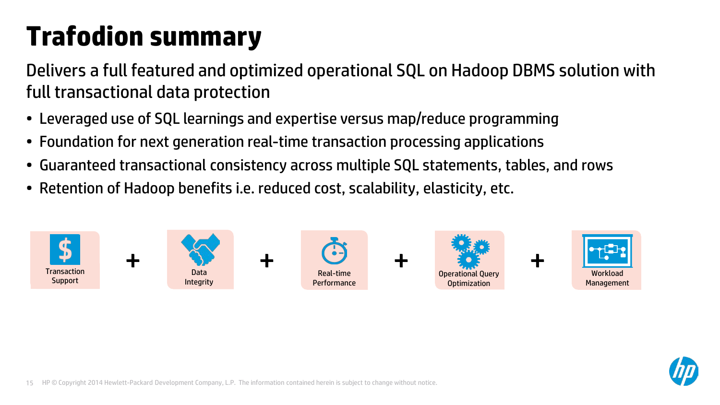# **Trafodion summary**

Delivers a full featured and optimized operational SQL on Hadoop DBMS solution with full transactional data protection

- Leveraged use of SQL learnings and expertise versus map/reduce programming
- Foundation for next generation real-time transaction processing applications
- Guaranteed transactional consistency across multiple SQL statements, tables, and rows
- Retention of Hadoop benefits i.e. reduced cost, scalability, elasticity, etc.



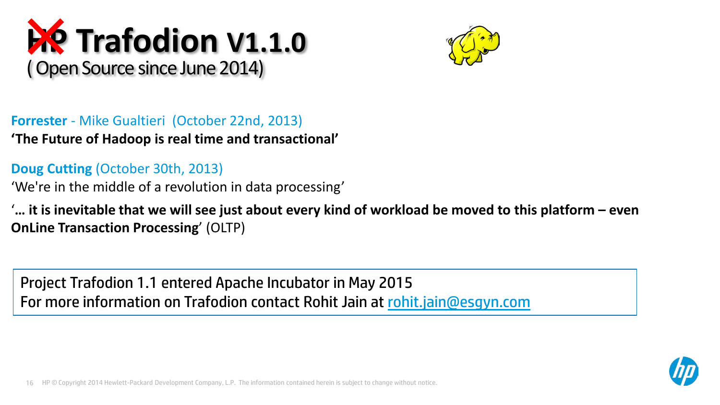# **HP Trafodion V1.1.0** ( Open Source since June 2014)



**Forrester** - Mike Gualtieri (October 22nd, 2013) **'The Future of Hadoop is real time and transactional'**

**Doug Cutting** (October 30th, 2013)

'We're in the middle of a revolution in data processing'

'**… it is inevitable that we will see just about every kind of workload be moved to this platform – even OnLine Transaction Processing**' (OLTP)

Project Trafodion 1.1 entered Apache Incubator in May 2015 For more information on Trafodion contact Rohit Jain at [rohit.jain@esgyn.com](mailto:rohit.jain@esgyn.com)

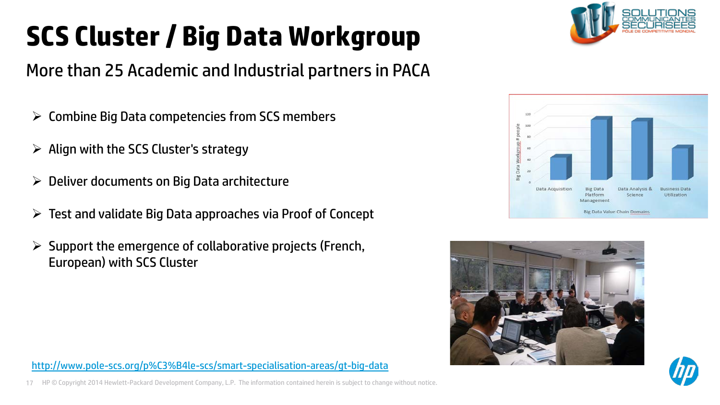# **SCS Cluster / Big Data Workgroup**



### More than 25 Academic and Industrial partners in PACA

- $\triangleright$  Combine Big Data competencies from SCS members
- $\triangleright$  Align with the SCS Cluster's strategy
- $\triangleright$  Deliver documents on Big Data architecture
- $\triangleright$  Test and validate Big Data approaches via Proof of Concept
- $\triangleright$  Support the emergence of collaborative projects (French, European) with SCS Cluster